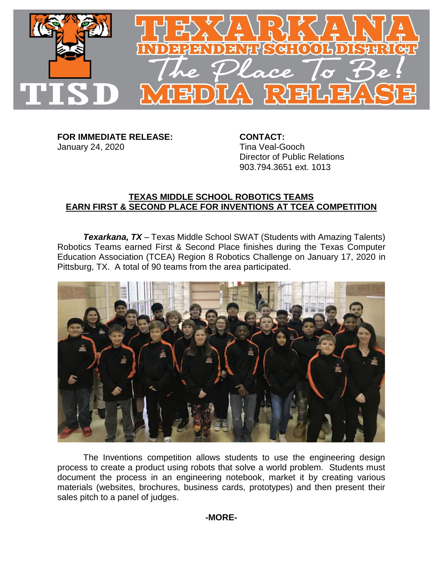

**FOR IMMEDIATE RELEASE: CONTACT:** January 24, 2020 **Tina Veal-Gooch** 

Director of Public Relations 903.794.3651 ext. 1013

## **TEXAS MIDDLE SCHOOL ROBOTICS TEAMS EARN FIRST & SECOND PLACE FOR INVENTIONS AT TCEA COMPETITION**

*Texarkana, TX* – Texas Middle School SWAT (Students with Amazing Talents) Robotics Teams earned First & Second Place finishes during the Texas Computer Education Association (TCEA) Region 8 Robotics Challenge on January 17, 2020 in Pittsburg, TX. A total of 90 teams from the area participated.



The Inventions competition allows students to use the engineering design process to create a product using robots that solve a world problem. Students must document the process in an engineering notebook, market it by creating various materials (websites, brochures, business cards, prototypes) and then present their sales pitch to a panel of judges.